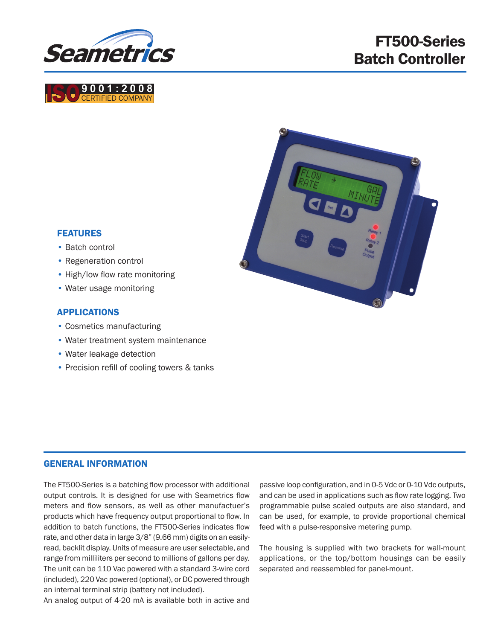

**9 0 0 1 : 2 0 0 8**<br>CERTIFIED COMPANY

# FT500-Series Batch Controller

# FEATURES

- Batch control
- Regeneration control
- High/low flow rate monitoring
- Water usage monitoring

#### APPLICATIONS

- Cosmetics manufacturing
- Water treatment system maintenance
- Water leakage detection
- Precision refill of cooling towers & tanks

#### GENERAL INFORMATION

The FT500-Series is a batching flow processor with additional output controls. It is designed for use with Seametrics flow meters and flow sensors, as well as other manufactuer's products which have frequency output proportional to flow. In addition to batch functions, the FT500-Series indicates flow rate, and other data in large 3/8" (9.66 mm) digits on an easilyread, backlit display. Units of measure are user selectable, and range from milliliters per second to millions of gallons per day. The unit can be 110 Vac powered with a standard 3-wire cord (included), 220 Vac powered (optional), or DC powered through an internal terminal strip (battery not included).

An analog output of 4-20 mA is available both in active and

passive loop configuration, and in 0-5 Vdc or 0-10 Vdc outputs, and can be used in applications such as flow rate logging. Two programmable pulse scaled outputs are also standard, and can be used, for example, to provide proportional chemical feed with a pulse-responsive metering pump.

The housing is supplied with two brackets for wall-mount applications, or the top/bottom housings can be easily separated and reassembled for panel-mount.

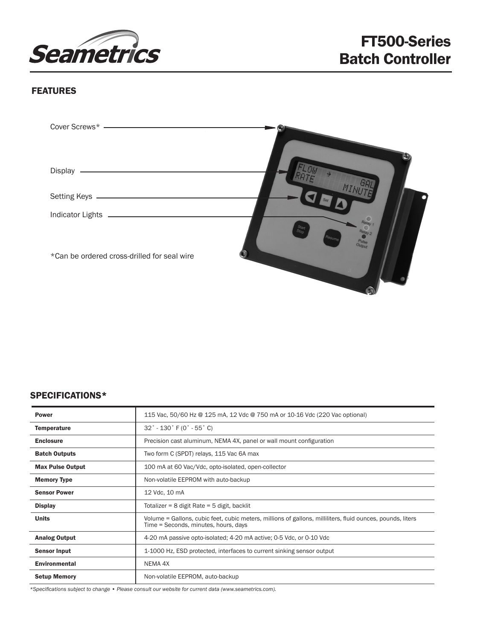

## FEATURES

| Display                                     |                         |
|---------------------------------------------|-------------------------|
| <b>Setting Keys</b>                         |                         |
| <b>Indicator Lights</b>                     |                         |
| *Can be ordered cross-drilled for seal wire | Start<br>Stop<br>Output |

#### SPECIFICATIONS\*

| <b>Power</b>            | 115 Vac, 50/60 Hz @ 125 mA, 12 Vdc @ 750 mA or 10-16 Vdc (220 Vac optional)                                                                        |  |
|-------------------------|----------------------------------------------------------------------------------------------------------------------------------------------------|--|
| <b>Temperature</b>      | $32^{\circ}$ - 130 $^{\circ}$ F (0 $^{\circ}$ - 55 $^{\circ}$ C)                                                                                   |  |
| <b>Enclosure</b>        | Precision cast aluminum, NEMA 4X, panel or wall mount configuration                                                                                |  |
| <b>Batch Outputs</b>    | Two form C (SPDT) relays, 115 Vac 6A max                                                                                                           |  |
| <b>Max Pulse Output</b> | 100 mA at 60 Vac/Vdc, opto-isolated, open-collector                                                                                                |  |
| <b>Memory Type</b>      | Non-volatile EEPROM with auto-backup                                                                                                               |  |
| <b>Sensor Power</b>     | 12 Vdc, 10 mA                                                                                                                                      |  |
| <b>Display</b>          | Totalizer = $8$ digit Rate = $5$ digit, backlit                                                                                                    |  |
| <b>Units</b>            | Volume = Gallons, cubic feet, cubic meters, millions of gallons, milliliters, fluid ounces, pounds, liters<br>Time = Seconds, minutes, hours, days |  |
| <b>Analog Output</b>    | 4-20 mA passive opto-isolated; 4-20 mA active; 0-5 Vdc, or 0-10 Vdc                                                                                |  |
| <b>Sensor Input</b>     | 1-1000 Hz, ESD protected, interfaces to current sinking sensor output                                                                              |  |
| <b>Environmental</b>    | NEMA 4X                                                                                                                                            |  |
| <b>Setup Memory</b>     | Non-volatile EEPROM, auto-backup                                                                                                                   |  |

*\*Specifications subject to change • Please consult our website for current data (www.seametrics.com).*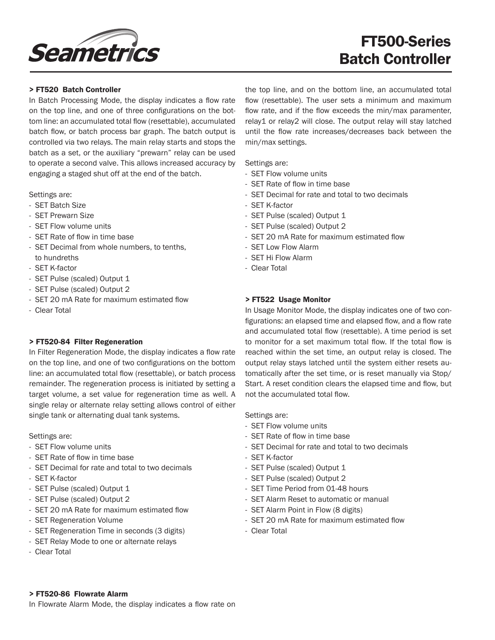

# FT500-Series Batch Controller

#### > FT520 Batch Controller

In Batch Processing Mode, the display indicates a flow rate on the top line, and one of three configurations on the bottom line: an accumulated total flow (resettable), accumulated batch flow, or batch process bar graph. The batch output is controlled via two relays. The main relay starts and stops the batch as a set, or the auxiliary "prewarn" relay can be used to operate a second valve. This allows increased accuracy by engaging a staged shut off at the end of the batch.

Settings are:

- SET Batch Size
- SET Prewarn Size
- SET Flow volume units
- SET Rate of flow in time base
- SET Decimal from whole numbers, to tenths, to hundreths
- SET K-factor
- SET Pulse (scaled) Output 1
- SET Pulse (scaled) Output 2
- SET 20 mA Rate for maximum estimated flow
- Clear Total

#### > FT520-84 Filter Regeneration

In Filter Regeneration Mode, the display indicates a flow rate on the top line, and one of two configurations on the bottom line: an accumulated total flow (resettable), or batch process remainder. The regeneration process is initiated by setting a target volume, a set value for regeneration time as well. A single relay or alternate relay setting allows control of either single tank or alternating dual tank systems.

Settings are:

- SET Flow volume units
- SET Rate of flow in time base
- SET Decimal for rate and total to two decimals
- SET K-factor
- SET Pulse (scaled) Output 1
- SET Pulse (scaled) Output 2
- SET 20 mA Rate for maximum estimated flow
- SET Regeneration Volume
- SET Regeneration Time in seconds (3 digits)
- SET Relay Mode to one or alternate relays
- Clear Total

the top line, and on the bottom line, an accumulated total flow (resettable). The user sets a minimum and maximum flow rate, and if the flow exceeds the min/max paramenter, relay1 or relay2 will close. The output relay will stay latched until the flow rate increases/decreases back between the min/max settings.

Settings are:

- SET Flow volume units
- SET Rate of flow in time base
- SET Decimal for rate and total to two decimals
- SET K-factor
- SET Pulse (scaled) Output 1
- SET Pulse (scaled) Output 2
- SET 20 mA Rate for maximum estimated flow
- SET Low Flow Alarm
- SET Hi Flow Alarm
- Clear Total

#### > FT522 Usage Monitor

In Usage Monitor Mode, the display indicates one of two configurations: an elapsed time and elapsed flow, and a flow rate and accumulated total flow (resettable). A time period is set to monitor for a set maximum total flow. If the total flow is reached within the set time, an output relay is closed. The output relay stays latched until the system either resets automatically after the set time, or is reset manually via Stop/ Start. A reset condition clears the elapsed time and flow, but not the accumulated total flow.

Settings are:

- SET Flow volume units
- SET Rate of flow in time base
- SET Decimal for rate and total to two decimals
- SET K-factor
- SET Pulse (scaled) Output 1
- SET Pulse (scaled) Output 2
- SET Time Period from 01-48 hours
- SET Alarm Reset to automatic or manual
- SET Alarm Point in Flow (8 digits)
- SET 20 mA Rate for maximum estimated flow
- Clear Total

#### > FT520-86 Flowrate Alarm

In Flowrate Alarm Mode, the display indicates a flow rate on